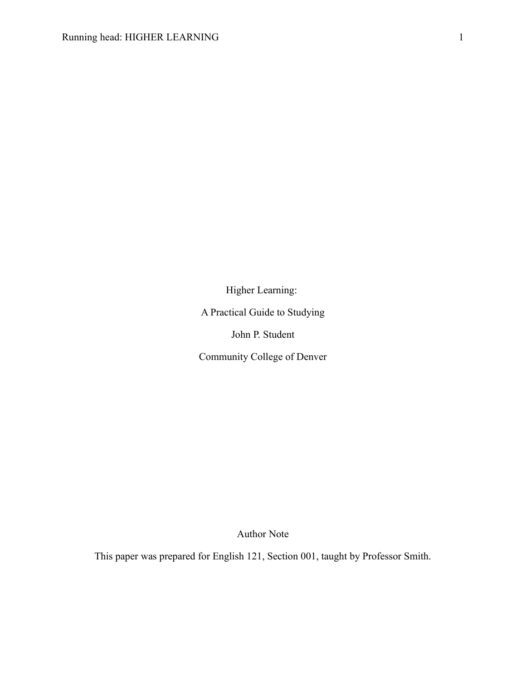Higher Learning: A Practical Guide to Studying John P. Student Community College of Denver

Author Note

This paper was prepared for English 121, Section 001, taught by Professor Smith.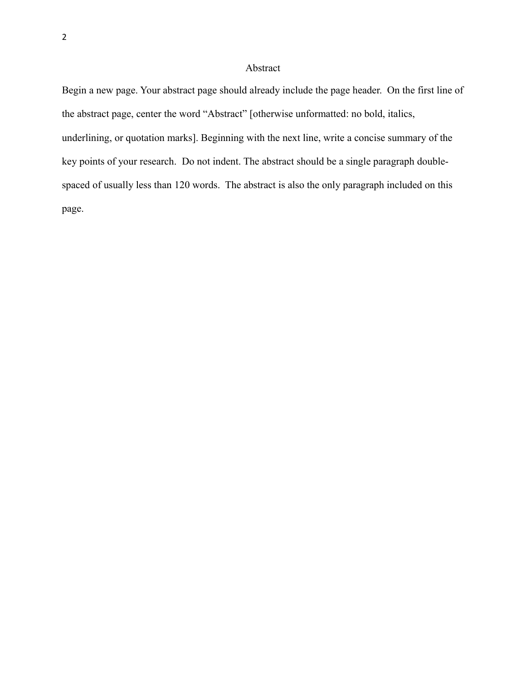# Abstract

Begin a new page. Your abstract page should already include the page header. On the first line of the abstract page, center the word "Abstract" [otherwise unformatted: no bold, italics, underlining, or quotation marks]. Beginning with the next line, write a concise summary of the key points of your research. Do not indent. The abstract should be a single paragraph doublespaced of usually less than 120 words. The abstract is also the only paragraph included on this page.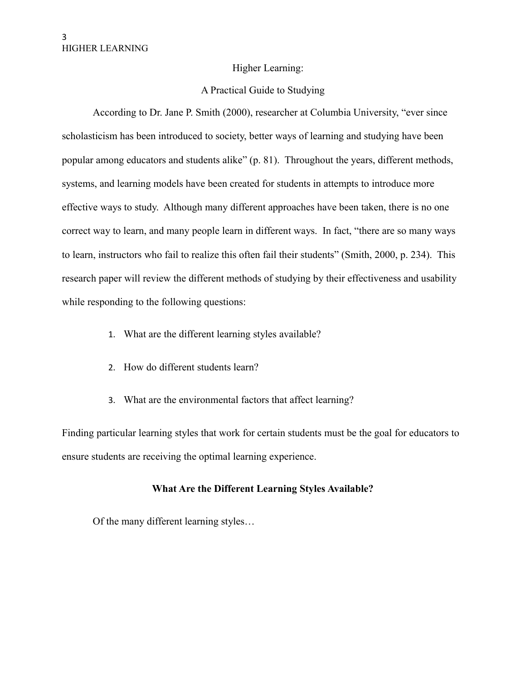### Higher Learning:

### A Practical Guide to Studying

According to Dr. Jane P. Smith (2000), researcher at Columbia University, "ever since scholasticism has been introduced to society, better ways of learning and studying have been popular among educators and students alike" (p. 81). Throughout the years, different methods, systems, and learning models have been created for students in attempts to introduce more effective ways to study. Although many different approaches have been taken, there is no one correct way to learn, and many people learn in different ways. In fact, "there are so many ways to learn, instructors who fail to realize this often fail their students" (Smith, 2000, p. 234). This research paper will review the different methods of studying by their effectiveness and usability while responding to the following questions:

- 1. What are the different learning styles available?
- 2. How do different students learn?
- 3. What are the environmental factors that affect learning?

Finding particular learning styles that work for certain students must be the goal for educators to ensure students are receiving the optimal learning experience.

# **What Are the Different Learning Styles Available?**

Of the many different learning styles…